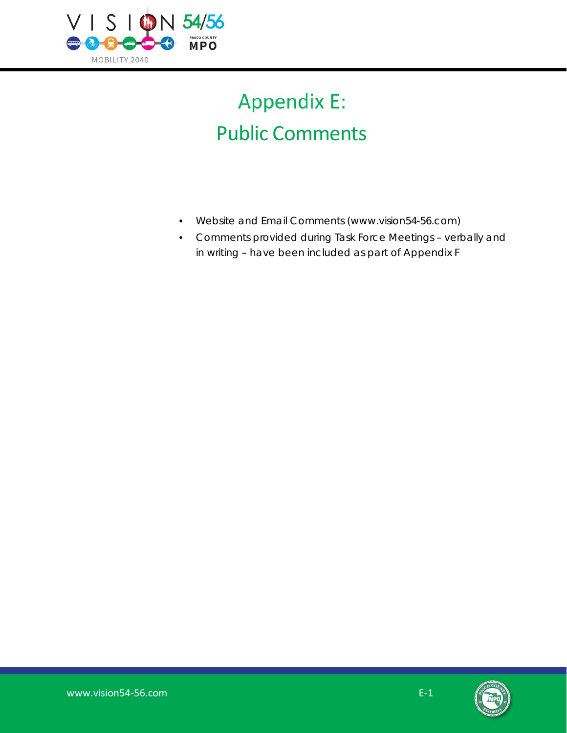

## **Appendix E:** Public Comments

- Website and Email Comments (www.vision54-56.com)
- Comments provided during Task Force Meetings verbally and in writing – have been included as part of Appendix F